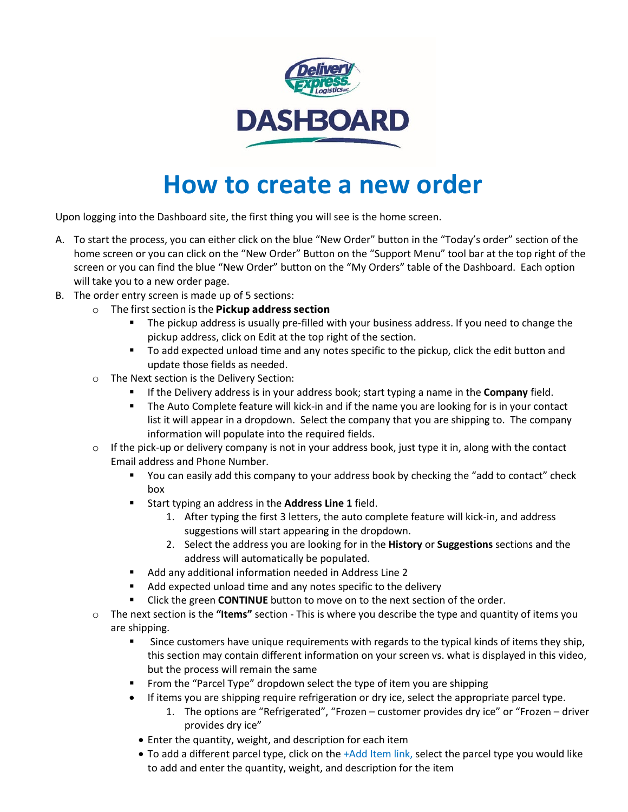

## **How to create a new order**

Upon logging into the Dashboard site, the first thing you will see is the home screen.

- A. To start the process, you can either click on the blue "New Order" button in the "Today's order" section of the home screen or you can click on the "New Order" Button on the "Support Menu" tool bar at the top right of the screen or you can find the blue "New Order" button on the "My Orders" table of the Dashboard. Each option will take you to a new order page.
- B. The order entry screen is made up of 5 sections:
	- o The first section is the **Pickup address section**
		- The pickup address is usually pre-filled with your business address. If you need to change the pickup address, click on Edit at the top right of the section.
		- To add expected unload time and any notes specific to the pickup, click the edit button and update those fields as needed.
	- o The Next section is the Delivery Section:
		- If the Delivery address is in your address book; start typing a name in the **Company** field.
		- **The Auto Complete feature will kick-in and if the name you are looking for is in your contact** list it will appear in a dropdown. Select the company that you are shipping to. The company information will populate into the required fields.
	- $\circ$  If the pick-up or delivery company is not in your address book, just type it in, along with the contact Email address and Phone Number.
		- You can easily add this company to your address book by checking the "add to contact" check box
		- Start typing an address in the **Address Line 1** field.
			- 1. After typing the first 3 letters, the auto complete feature will kick-in, and address suggestions will start appearing in the dropdown.
			- 2. Select the address you are looking for in the **History** or **Suggestions** sections and the address will automatically be populated.
		- Add any additional information needed in Address Line 2
		- Add expected unload time and any notes specific to the delivery
		- Click the green **CONTINUE** button to move on to the next section of the order.
	- o The next section is the **"Items"** section This is where you describe the type and quantity of items you are shipping.
		- **Since customers have unique requirements with regards to the typical kinds of items they ship,** this section may contain different information on your screen vs. what is displayed in this video, but the process will remain the same
		- From the "Parcel Type" dropdown select the type of item you are shipping
		- If items you are shipping require refrigeration or dry ice, select the appropriate parcel type.
			- 1. The options are "Refrigerated", "Frozen customer provides dry ice" or "Frozen driver provides dry ice"
			- Enter the quantity, weight, and description for each item
			- To add a different parcel type, click on the +Add Item link, select the parcel type you would like to add and enter the quantity, weight, and description for the item